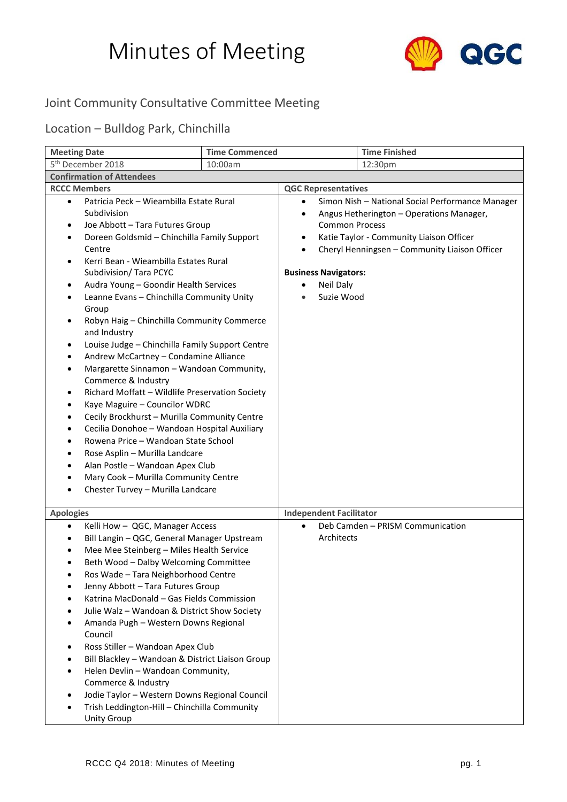## Minutes of Meeting



## Joint Community Consultative Committee Meeting

## Location – Bulldog Park, Chinchilla

| <b>Meeting Date</b>                                                                                                                                                                                                                                                                                                                                                                                                                                                                                                                                                                                                                                                                                                                                                                                                                                                                                                                                                                                                                                                    | <b>Time Commenced</b> |                                                                                                                                                              | <b>Time Finished</b>                                                                                                                                                                      |
|------------------------------------------------------------------------------------------------------------------------------------------------------------------------------------------------------------------------------------------------------------------------------------------------------------------------------------------------------------------------------------------------------------------------------------------------------------------------------------------------------------------------------------------------------------------------------------------------------------------------------------------------------------------------------------------------------------------------------------------------------------------------------------------------------------------------------------------------------------------------------------------------------------------------------------------------------------------------------------------------------------------------------------------------------------------------|-----------------------|--------------------------------------------------------------------------------------------------------------------------------------------------------------|-------------------------------------------------------------------------------------------------------------------------------------------------------------------------------------------|
| 5 <sup>th</sup> December 2018                                                                                                                                                                                                                                                                                                                                                                                                                                                                                                                                                                                                                                                                                                                                                                                                                                                                                                                                                                                                                                          | 10:00am               |                                                                                                                                                              | 12:30pm                                                                                                                                                                                   |
| <b>Confirmation of Attendees</b>                                                                                                                                                                                                                                                                                                                                                                                                                                                                                                                                                                                                                                                                                                                                                                                                                                                                                                                                                                                                                                       |                       |                                                                                                                                                              |                                                                                                                                                                                           |
| <b>RCCC Members</b>                                                                                                                                                                                                                                                                                                                                                                                                                                                                                                                                                                                                                                                                                                                                                                                                                                                                                                                                                                                                                                                    |                       | <b>QGC Representatives</b>                                                                                                                                   |                                                                                                                                                                                           |
| Patricia Peck - Wieambilla Estate Rural<br>$\bullet$<br>Subdivision<br>Joe Abbott - Tara Futures Group<br>Doreen Goldsmid - Chinchilla Family Support<br>$\bullet$<br>Centre<br>Kerri Bean - Wieambilla Estates Rural<br>Subdivision/ Tara PCYC<br>Audra Young - Goondir Health Services<br>٠<br>Leanne Evans - Chinchilla Community Unity<br>$\bullet$<br>Group<br>Robyn Haig - Chinchilla Community Commerce<br>$\bullet$<br>and Industry<br>Louise Judge - Chinchilla Family Support Centre<br>٠<br>Andrew McCartney - Condamine Alliance<br>٠<br>Margarette Sinnamon - Wandoan Community,<br>$\bullet$<br>Commerce & Industry<br>Richard Moffatt - Wildlife Preservation Society<br>٠<br>Kaye Maguire - Councilor WDRC<br>٠<br>Cecily Brockhurst - Murilla Community Centre<br>$\bullet$<br>Cecilia Donohoe - Wandoan Hospital Auxiliary<br>٠<br>Rowena Price - Wandoan State School<br>$\bullet$<br>Rose Asplin - Murilla Landcare<br>٠<br>Alan Postle - Wandoan Apex Club<br>٠<br>Mary Cook - Murilla Community Centre<br>٠<br>Chester Turvey - Murilla Landcare |                       | $\bullet$<br>$\bullet$<br><b>Common Process</b><br>$\bullet$<br>$\bullet$<br><b>Business Navigators:</b><br><b>Neil Daly</b><br>٠<br>Suzie Wood<br>$\bullet$ | Simon Nish - National Social Performance Manager<br>Angus Hetherington - Operations Manager,<br>Katie Taylor - Community Liaison Officer<br>Cheryl Henningsen - Community Liaison Officer |
| <b>Apologies</b>                                                                                                                                                                                                                                                                                                                                                                                                                                                                                                                                                                                                                                                                                                                                                                                                                                                                                                                                                                                                                                                       |                       | <b>Independent Facilitator</b>                                                                                                                               |                                                                                                                                                                                           |
| Kelli How - QGC, Manager Access<br>$\bullet$<br>Bill Langin - QGC, General Manager Upstream<br>٠<br>Mee Mee Steinberg - Miles Health Service<br>Beth Wood - Dalby Welcoming Committee<br>$\bullet$<br>Ros Wade - Tara Neighborhood Centre<br>Jenny Abbott - Tara Futures Group<br>Katrina MacDonald - Gas Fields Commission<br>Julie Walz - Wandoan & District Show Society<br>Amanda Pugh - Western Downs Regional<br>Council<br>Ross Stiller - Wandoan Apex Club<br>Bill Blackley - Wandoan & District Liaison Group<br>Helen Devlin - Wandoan Community,<br>Commerce & Industry<br>Jodie Taylor - Western Downs Regional Council<br>Trish Leddington-Hill - Chinchilla Community<br><b>Unity Group</b>                                                                                                                                                                                                                                                                                                                                                              |                       | $\bullet$<br>Architects                                                                                                                                      | Deb Camden - PRISM Communication                                                                                                                                                          |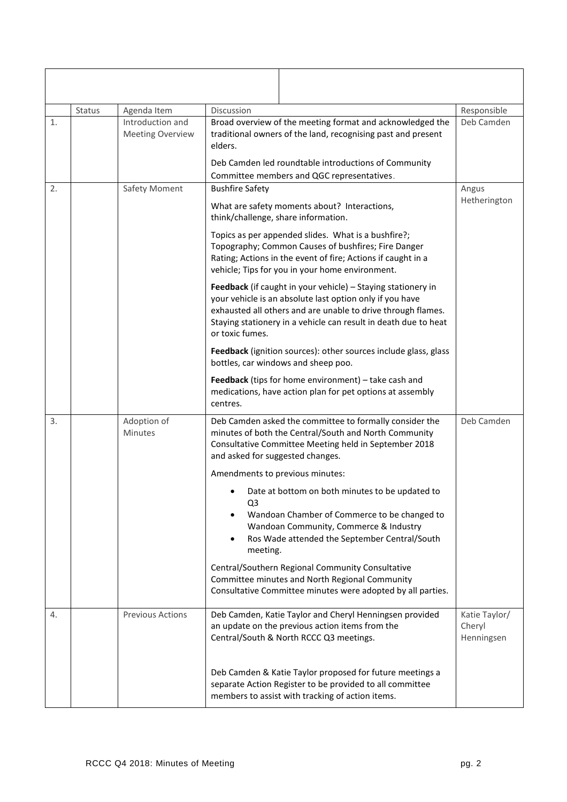|    | Status | Agenda Item                                 | Discussion                                                                                                                                                                                                                                                                     | Responsible                           |
|----|--------|---------------------------------------------|--------------------------------------------------------------------------------------------------------------------------------------------------------------------------------------------------------------------------------------------------------------------------------|---------------------------------------|
| 1. |        | Introduction and<br><b>Meeting Overview</b> | Broad overview of the meeting format and acknowledged the<br>traditional owners of the land, recognising past and present<br>elders.                                                                                                                                           | Deb Camden                            |
|    |        |                                             | Deb Camden led roundtable introductions of Community<br>Committee members and QGC representatives.                                                                                                                                                                             |                                       |
| 2. |        | Safety Moment                               | <b>Bushfire Safety</b>                                                                                                                                                                                                                                                         | Angus                                 |
|    |        |                                             | What are safety moments about? Interactions,<br>think/challenge, share information.                                                                                                                                                                                            | Hetherington                          |
|    |        |                                             | Topics as per appended slides. What is a bushfire?;<br>Topography; Common Causes of bushfires; Fire Danger<br>Rating; Actions in the event of fire; Actions if caught in a<br>vehicle; Tips for you in your home environment.                                                  |                                       |
|    |        |                                             | Feedback (if caught in your vehicle) - Staying stationery in<br>your vehicle is an absolute last option only if you have<br>exhausted all others and are unable to drive through flames.<br>Staying stationery in a vehicle can result in death due to heat<br>or toxic fumes. |                                       |
|    |        |                                             | Feedback (ignition sources): other sources include glass, glass<br>bottles, car windows and sheep poo.                                                                                                                                                                         |                                       |
|    |        |                                             | Feedback (tips for home environment) - take cash and<br>medications, have action plan for pet options at assembly<br>centres.                                                                                                                                                  |                                       |
| 3. |        | Adoption of<br><b>Minutes</b>               | Deb Camden asked the committee to formally consider the<br>minutes of both the Central/South and North Community<br>Consultative Committee Meeting held in September 2018<br>and asked for suggested changes.                                                                  | Deb Camden                            |
|    |        |                                             | Amendments to previous minutes:                                                                                                                                                                                                                                                |                                       |
|    |        |                                             | Date at bottom on both minutes to be updated to<br>Q <sub>3</sub><br>Wandoan Chamber of Commerce to be changed to<br>Wandoan Community, Commerce & Industry<br>Ros Wade attended the September Central/South<br>$\bullet$<br>meeting.                                          |                                       |
|    |        |                                             | Central/Southern Regional Community Consultative<br>Committee minutes and North Regional Community<br>Consultative Committee minutes were adopted by all parties.                                                                                                              |                                       |
| 4. |        | <b>Previous Actions</b>                     | Deb Camden, Katie Taylor and Cheryl Henningsen provided<br>an update on the previous action items from the<br>Central/South & North RCCC Q3 meetings.                                                                                                                          | Katie Taylor/<br>Cheryl<br>Henningsen |
|    |        |                                             | Deb Camden & Katie Taylor proposed for future meetings a<br>separate Action Register to be provided to all committee<br>members to assist with tracking of action items.                                                                                                       |                                       |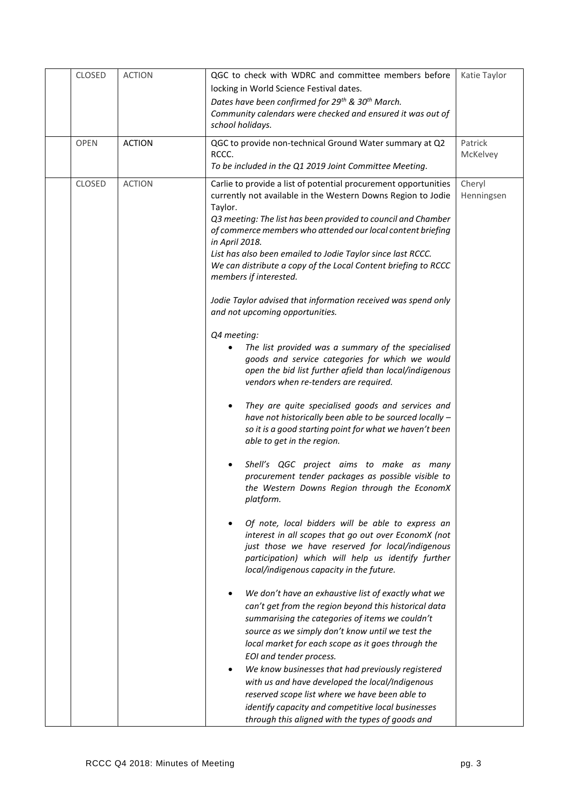| <b>CLOSED</b> | <b>ACTION</b> | QGC to check with WDRC and committee members before                                                                             | Katie Taylor |
|---------------|---------------|---------------------------------------------------------------------------------------------------------------------------------|--------------|
|               |               | locking in World Science Festival dates.                                                                                        |              |
|               |               | Dates have been confirmed for 29 <sup>th</sup> & 30 <sup>th</sup> March.                                                        |              |
|               |               | Community calendars were checked and ensured it was out of                                                                      |              |
|               |               | school holidays.                                                                                                                |              |
| <b>OPEN</b>   | <b>ACTION</b> | QGC to provide non-technical Ground Water summary at Q2                                                                         | Patrick      |
|               |               | RCCC.                                                                                                                           | McKelvey     |
|               |               | To be included in the Q1 2019 Joint Committee Meeting.                                                                          |              |
|               |               |                                                                                                                                 |              |
| <b>CLOSED</b> | <b>ACTION</b> | Carlie to provide a list of potential procurement opportunities<br>currently not available in the Western Downs Region to Jodie | Cheryl       |
|               |               | Taylor.                                                                                                                         | Henningsen   |
|               |               | Q3 meeting: The list has been provided to council and Chamber                                                                   |              |
|               |               | of commerce members who attended our local content briefing                                                                     |              |
|               |               | in April 2018.                                                                                                                  |              |
|               |               | List has also been emailed to Jodie Taylor since last RCCC.                                                                     |              |
|               |               | We can distribute a copy of the Local Content briefing to RCCC                                                                  |              |
|               |               | members if interested.                                                                                                          |              |
|               |               |                                                                                                                                 |              |
|               |               | Jodie Taylor advised that information received was spend only                                                                   |              |
|               |               | and not upcoming opportunities.                                                                                                 |              |
|               |               |                                                                                                                                 |              |
|               |               | Q4 meeting:                                                                                                                     |              |
|               |               | The list provided was a summary of the specialised<br>goods and service categories for which we would                           |              |
|               |               | open the bid list further afield than local/indigenous                                                                          |              |
|               |               | vendors when re-tenders are required.                                                                                           |              |
|               |               |                                                                                                                                 |              |
|               |               | They are quite specialised goods and services and                                                                               |              |
|               |               | have not historically been able to be sourced locally -                                                                         |              |
|               |               | so it is a good starting point for what we haven't been                                                                         |              |
|               |               | able to get in the region.                                                                                                      |              |
|               |               |                                                                                                                                 |              |
|               |               | Shell's QGC project aims to make as many                                                                                        |              |
|               |               | procurement tender packages as possible visible to                                                                              |              |
|               |               | the Western Downs Region through the EconomX                                                                                    |              |
|               |               | platform.                                                                                                                       |              |
|               |               | Of note, local bidders will be able to express an                                                                               |              |
|               |               | interest in all scopes that go out over EconomX (not                                                                            |              |
|               |               | just those we have reserved for local/indigenous                                                                                |              |
|               |               | participation) which will help us identify further                                                                              |              |
|               |               | local/indigenous capacity in the future.                                                                                        |              |
|               |               |                                                                                                                                 |              |
|               |               | We don't have an exhaustive list of exactly what we                                                                             |              |
|               |               | can't get from the region beyond this historical data                                                                           |              |
|               |               | summarising the categories of items we couldn't                                                                                 |              |
|               |               | source as we simply don't know until we test the                                                                                |              |
|               |               | local market for each scope as it goes through the                                                                              |              |
|               |               | EOI and tender process.                                                                                                         |              |
|               |               | We know businesses that had previously registered                                                                               |              |
|               |               | with us and have developed the local/Indigenous                                                                                 |              |
|               |               | reserved scope list where we have been able to                                                                                  |              |
|               |               | identify capacity and competitive local businesses                                                                              |              |
|               |               | through this aligned with the types of goods and                                                                                |              |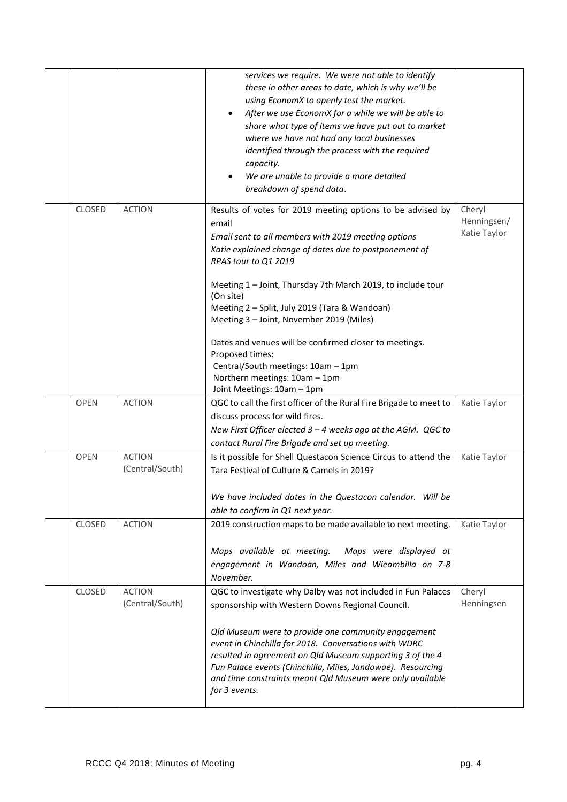|             |                                  | services we require. We were not able to identify<br>these in other areas to date, which is why we'll be<br>using EconomX to openly test the market.<br>After we use EconomX for a while we will be able to<br>share what type of items we have put out to market<br>where we have not had any local businesses<br>identified through the process with the required<br>capacity.<br>We are unable to provide a more detailed<br>breakdown of spend data.                                                                                                                |                                       |
|-------------|----------------------------------|-------------------------------------------------------------------------------------------------------------------------------------------------------------------------------------------------------------------------------------------------------------------------------------------------------------------------------------------------------------------------------------------------------------------------------------------------------------------------------------------------------------------------------------------------------------------------|---------------------------------------|
| CLOSED      | <b>ACTION</b>                    | Results of votes for 2019 meeting options to be advised by<br>email<br>Email sent to all members with 2019 meeting options<br>Katie explained change of dates due to postponement of<br>RPAS tour to Q1 2019<br>Meeting 1 - Joint, Thursday 7th March 2019, to include tour<br>(On site)<br>Meeting 2 - Split, July 2019 (Tara & Wandoan)<br>Meeting 3 - Joint, November 2019 (Miles)<br>Dates and venues will be confirmed closer to meetings.<br>Proposed times:<br>Central/South meetings: 10am - 1pm<br>Northern meetings: 10am - 1pm<br>Joint Meetings: 10am - 1pm | Cheryl<br>Henningsen/<br>Katie Taylor |
| <b>OPEN</b> | <b>ACTION</b>                    | QGC to call the first officer of the Rural Fire Brigade to meet to<br>discuss process for wild fires.<br>New First Officer elected 3 - 4 weeks ago at the AGM. QGC to<br>contact Rural Fire Brigade and set up meeting.                                                                                                                                                                                                                                                                                                                                                 | Katie Taylor                          |
| <b>OPEN</b> | <b>ACTION</b><br>(Central/South) | Is it possible for Shell Questacon Science Circus to attend the<br>Tara Festival of Culture & Camels in 2019?<br>We have included dates in the Questacon calendar. Will be<br>able to confirm in Q1 next year.                                                                                                                                                                                                                                                                                                                                                          | Katie Taylor                          |
| CLOSED      | <b>ACTION</b>                    | 2019 construction maps to be made available to next meeting.<br>Maps available at meeting. Maps were displayed at<br>engagement in Wandoan, Miles and Wieambilla on 7-8<br>November.                                                                                                                                                                                                                                                                                                                                                                                    | Katie Taylor                          |
| CLOSED      | <b>ACTION</b><br>(Central/South) | QGC to investigate why Dalby was not included in Fun Palaces<br>sponsorship with Western Downs Regional Council.<br>Qld Museum were to provide one community engagement<br>event in Chinchilla for 2018. Conversations with WDRC<br>resulted in agreement on Qld Museum supporting 3 of the 4<br>Fun Palace events (Chinchilla, Miles, Jandowae). Resourcing<br>and time constraints meant Qld Museum were only available<br>for 3 events.                                                                                                                              | Cheryl<br>Henningsen                  |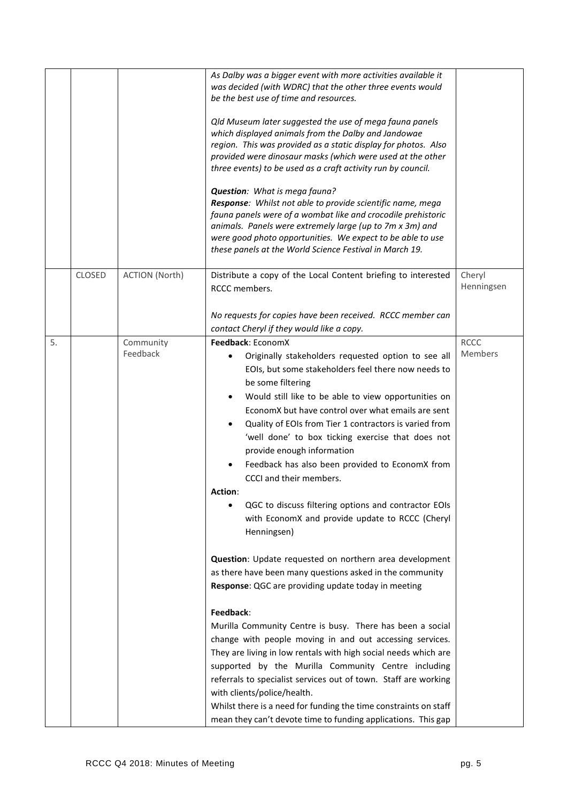|    |               |                       | As Dalby was a bigger event with more activities available it<br>was decided (with WDRC) that the other three events would<br>be the best use of time and resources.<br>Qld Museum later suggested the use of mega fauna panels<br>which displayed animals from the Dalby and Jandowae<br>region. This was provided as a static display for photos. Also<br>provided were dinosaur masks (which were used at the other<br>three events) to be used as a craft activity run by council.<br>Question: What is mega fauna?<br>Response: Whilst not able to provide scientific name, mega<br>fauna panels were of a wombat like and crocodile prehistoric<br>animals. Panels were extremely large (up to 7m x 3m) and<br>were good photo opportunities. We expect to be able to use<br>these panels at the World Science Festival in March 19. |                        |
|----|---------------|-----------------------|--------------------------------------------------------------------------------------------------------------------------------------------------------------------------------------------------------------------------------------------------------------------------------------------------------------------------------------------------------------------------------------------------------------------------------------------------------------------------------------------------------------------------------------------------------------------------------------------------------------------------------------------------------------------------------------------------------------------------------------------------------------------------------------------------------------------------------------------|------------------------|
|    | <b>CLOSED</b> | <b>ACTION (North)</b> | Distribute a copy of the Local Content briefing to interested<br>RCCC members.<br>No requests for copies have been received. RCCC member can                                                                                                                                                                                                                                                                                                                                                                                                                                                                                                                                                                                                                                                                                               | Cheryl<br>Henningsen   |
|    |               |                       | contact Cheryl if they would like a copy.                                                                                                                                                                                                                                                                                                                                                                                                                                                                                                                                                                                                                                                                                                                                                                                                  |                        |
| 5. |               | Community<br>Feedback | Feedback: EconomX<br>Originally stakeholders requested option to see all<br>EOIs, but some stakeholders feel there now needs to<br>be some filtering<br>Would still like to be able to view opportunities on<br>EconomX but have control over what emails are sent<br>Quality of EOIs from Tier 1 contractors is varied from<br>'well done' to box ticking exercise that does not<br>provide enough information<br>Feedback has also been provided to EconomX from<br>CCCI and their members.<br><b>Action:</b><br>QGC to discuss filtering options and contractor EOIs<br>with EconomX and provide update to RCCC (Cheryl<br>Henningsen)                                                                                                                                                                                                  | <b>RCCC</b><br>Members |
|    |               |                       | Question: Update requested on northern area development<br>as there have been many questions asked in the community<br>Response: QGC are providing update today in meeting<br>Feedback:<br>Murilla Community Centre is busy. There has been a social<br>change with people moving in and out accessing services.<br>They are living in low rentals with high social needs which are<br>supported by the Murilla Community Centre including<br>referrals to specialist services out of town. Staff are working<br>with clients/police/health.<br>Whilst there is a need for funding the time constraints on staff<br>mean they can't devote time to funding applications. This gap                                                                                                                                                          |                        |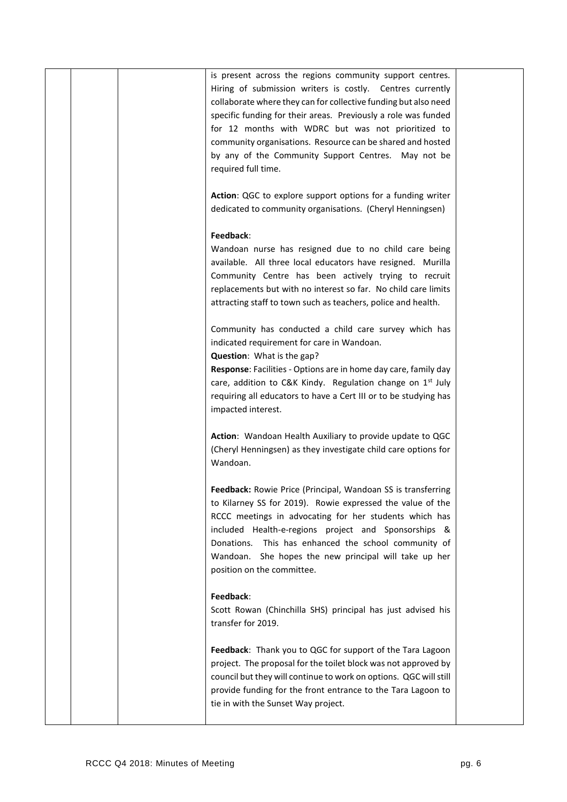|  | is present across the regions community support centres.               |  |
|--|------------------------------------------------------------------------|--|
|  | Hiring of submission writers is costly. Centres currently              |  |
|  | collaborate where they can for collective funding but also need        |  |
|  | specific funding for their areas. Previously a role was funded         |  |
|  | for 12 months with WDRC but was not prioritized to                     |  |
|  | community organisations. Resource can be shared and hosted             |  |
|  | by any of the Community Support Centres. May not be                    |  |
|  | required full time.                                                    |  |
|  |                                                                        |  |
|  | Action: QGC to explore support options for a funding writer            |  |
|  | dedicated to community organisations. (Cheryl Henningsen)              |  |
|  |                                                                        |  |
|  | Feedback:                                                              |  |
|  | Wandoan nurse has resigned due to no child care being                  |  |
|  | available. All three local educators have resigned. Murilla            |  |
|  | Community Centre has been actively trying to recruit                   |  |
|  | replacements but with no interest so far. No child care limits         |  |
|  | attracting staff to town such as teachers, police and health.          |  |
|  |                                                                        |  |
|  | Community has conducted a child care survey which has                  |  |
|  | indicated requirement for care in Wandoan.                             |  |
|  | Question: What is the gap?                                             |  |
|  | Response: Facilities - Options are in home day care, family day        |  |
|  | care, addition to C&K Kindy. Regulation change on 1 <sup>st</sup> July |  |
|  | requiring all educators to have a Cert III or to be studying has       |  |
|  | impacted interest.                                                     |  |
|  |                                                                        |  |
|  | Action: Wandoan Health Auxiliary to provide update to QGC              |  |
|  | (Cheryl Henningsen) as they investigate child care options for         |  |
|  | Wandoan.                                                               |  |
|  |                                                                        |  |
|  | Feedback: Rowie Price (Principal, Wandoan SS is transferring           |  |
|  | to Kilarney SS for 2019). Rowie expressed the value of the             |  |
|  | RCCC meetings in advocating for her students which has                 |  |
|  | included Health-e-regions project and Sponsorships &                   |  |
|  | Donations. This has enhanced the school community of                   |  |
|  |                                                                        |  |
|  | Wandoan. She hopes the new principal will take up her                  |  |
|  | position on the committee.                                             |  |
|  |                                                                        |  |
|  | Feedback:                                                              |  |
|  | Scott Rowan (Chinchilla SHS) principal has just advised his            |  |
|  | transfer for 2019.                                                     |  |
|  |                                                                        |  |
|  | Feedback: Thank you to QGC for support of the Tara Lagoon              |  |
|  | project. The proposal for the toilet block was not approved by         |  |
|  | council but they will continue to work on options. QGC will still      |  |
|  | provide funding for the front entrance to the Tara Lagoon to           |  |
|  | tie in with the Sunset Way project.                                    |  |
|  |                                                                        |  |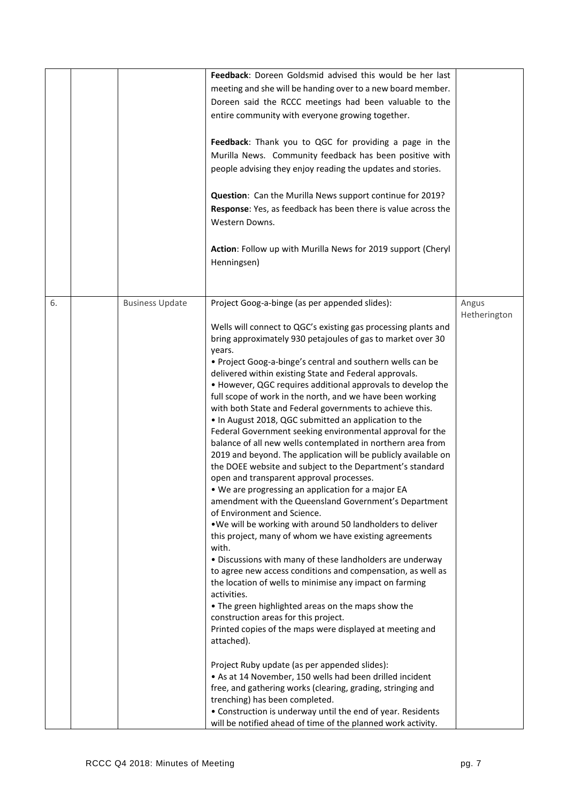|    |                        | Feedback: Doreen Goldsmid advised this would be her last                                       |                       |
|----|------------------------|------------------------------------------------------------------------------------------------|-----------------------|
|    |                        | meeting and she will be handing over to a new board member.                                    |                       |
|    |                        | Doreen said the RCCC meetings had been valuable to the                                         |                       |
|    |                        | entire community with everyone growing together.                                               |                       |
|    |                        | Feedback: Thank you to QGC for providing a page in the                                         |                       |
|    |                        | Murilla News. Community feedback has been positive with                                        |                       |
|    |                        | people advising they enjoy reading the updates and stories.                                    |                       |
|    |                        | Question: Can the Murilla News support continue for 2019?                                      |                       |
|    |                        | Response: Yes, as feedback has been there is value across the                                  |                       |
|    |                        | Western Downs.                                                                                 |                       |
|    |                        | Action: Follow up with Murilla News for 2019 support (Cheryl<br>Henningsen)                    |                       |
|    |                        |                                                                                                |                       |
| 6. | <b>Business Update</b> | Project Goog-a-binge (as per appended slides):                                                 | Angus<br>Hetherington |
|    |                        | Wells will connect to QGC's existing gas processing plants and                                 |                       |
|    |                        | bring approximately 930 petajoules of gas to market over 30<br>years.                          |                       |
|    |                        | • Project Goog-a-binge's central and southern wells can be                                     |                       |
|    |                        | delivered within existing State and Federal approvals.                                         |                       |
|    |                        | • However, QGC requires additional approvals to develop the                                    |                       |
|    |                        | full scope of work in the north, and we have been working                                      |                       |
|    |                        | with both State and Federal governments to achieve this.                                       |                       |
|    |                        | . In August 2018, QGC submitted an application to the                                          |                       |
|    |                        | Federal Government seeking environmental approval for the                                      |                       |
|    |                        | balance of all new wells contemplated in northern area from                                    |                       |
|    |                        | 2019 and beyond. The application will be publicly available on                                 |                       |
|    |                        | the DOEE website and subject to the Department's standard                                      |                       |
|    |                        | open and transparent approval processes.<br>. We are progressing an application for a major EA |                       |
|    |                        | amendment with the Queensland Government's Department                                          |                       |
|    |                        | of Environment and Science.                                                                    |                       |
|    |                        | . We will be working with around 50 landholders to deliver                                     |                       |
|    |                        | this project, many of whom we have existing agreements<br>with.                                |                       |
|    |                        | . Discussions with many of these landholders are underway                                      |                       |
|    |                        | to agree new access conditions and compensation, as well as                                    |                       |
|    |                        | the location of wells to minimise any impact on farming<br>activities.                         |                       |
|    |                        | . The green highlighted areas on the maps show the                                             |                       |
|    |                        | construction areas for this project.                                                           |                       |
|    |                        | Printed copies of the maps were displayed at meeting and                                       |                       |
|    |                        | attached).                                                                                     |                       |
|    |                        | Project Ruby update (as per appended slides):                                                  |                       |
|    |                        | • As at 14 November, 150 wells had been drilled incident                                       |                       |
|    |                        | free, and gathering works (clearing, grading, stringing and<br>trenching) has been completed.  |                       |
|    |                        | • Construction is underway until the end of year. Residents                                    |                       |
|    |                        | will be notified ahead of time of the planned work activity.                                   |                       |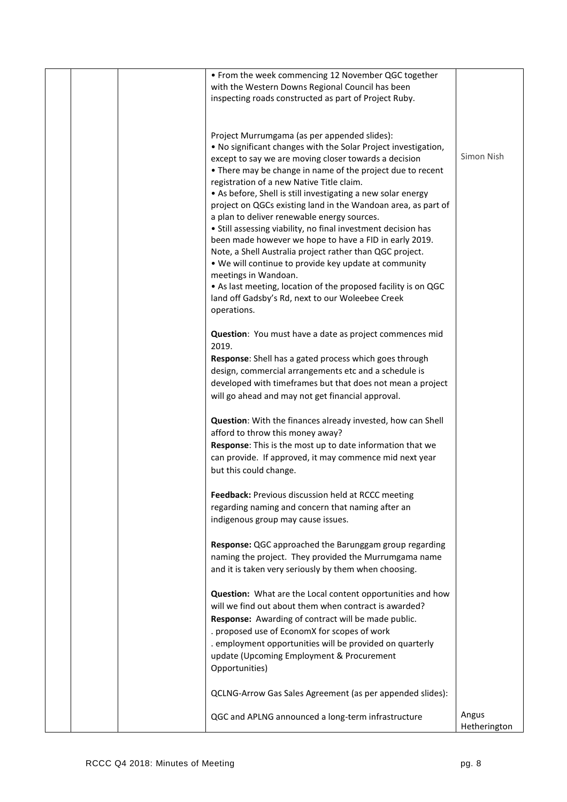|  | • From the week commencing 12 November QGC together<br>with the Western Downs Regional Council has been                       |              |
|--|-------------------------------------------------------------------------------------------------------------------------------|--------------|
|  | inspecting roads constructed as part of Project Ruby.                                                                         |              |
|  |                                                                                                                               |              |
|  | Project Murrumgama (as per appended slides):<br>. No significant changes with the Solar Project investigation,                |              |
|  | except to say we are moving closer towards a decision<br>• There may be change in name of the project due to recent           | Simon Nish   |
|  | registration of a new Native Title claim.                                                                                     |              |
|  | • As before, Shell is still investigating a new solar energy<br>project on QGCs existing land in the Wandoan area, as part of |              |
|  | a plan to deliver renewable energy sources.                                                                                   |              |
|  | • Still assessing viability, no final investment decision has<br>been made however we hope to have a FID in early 2019.       |              |
|  | Note, a Shell Australia project rather than QGC project.                                                                      |              |
|  | . We will continue to provide key update at community<br>meetings in Wandoan.                                                 |              |
|  | • As last meeting, location of the proposed facility is on QGC<br>land off Gadsby's Rd, next to our Woleebee Creek            |              |
|  | operations.                                                                                                                   |              |
|  | Question: You must have a date as project commences mid                                                                       |              |
|  | 2019.<br>Response: Shell has a gated process which goes through                                                               |              |
|  | design, commercial arrangements etc and a schedule is                                                                         |              |
|  | developed with timeframes but that does not mean a project                                                                    |              |
|  | will go ahead and may not get financial approval.                                                                             |              |
|  | <b>Question:</b> With the finances already invested, how can Shell                                                            |              |
|  | afford to throw this money away?                                                                                              |              |
|  | Response: This is the most up to date information that we<br>can provide. If approved, it may commence mid next year          |              |
|  | but this could change.                                                                                                        |              |
|  | Feedback: Previous discussion held at RCCC meeting                                                                            |              |
|  | regarding naming and concern that naming after an<br>indigenous group may cause issues.                                       |              |
|  |                                                                                                                               |              |
|  | Response: QGC approached the Barunggam group regarding<br>naming the project. They provided the Murrumgama name               |              |
|  | and it is taken very seriously by them when choosing.                                                                         |              |
|  | Question: What are the Local content opportunities and how                                                                    |              |
|  | will we find out about them when contract is awarded?                                                                         |              |
|  | Response: Awarding of contract will be made public.                                                                           |              |
|  | . proposed use of EconomX for scopes of work<br>. employment opportunities will be provided on quarterly                      |              |
|  | update (Upcoming Employment & Procurement                                                                                     |              |
|  | Opportunities)                                                                                                                |              |
|  | QCLNG-Arrow Gas Sales Agreement (as per appended slides):                                                                     |              |
|  | QGC and APLNG announced a long-term infrastructure                                                                            | Angus        |
|  |                                                                                                                               | Hetherington |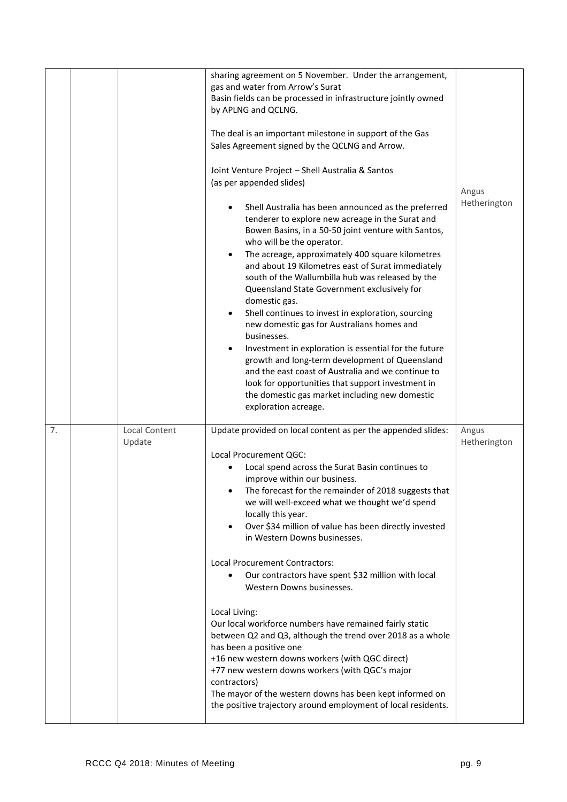|    |                         | sharing agreement on 5 November. Under the arrangement,<br>gas and water from Arrow's Surat<br>Basin fields can be processed in infrastructure jointly owned<br>by APLNG and QCLNG.<br>The deal is an important milestone in support of the Gas<br>Sales Agreement signed by the QCLNG and Arrow.<br>Joint Venture Project - Shell Australia & Santos<br>(as per appended slides)<br>Shell Australia has been announced as the preferred<br>tenderer to explore new acreage in the Surat and<br>Bowen Basins, in a 50-50 joint venture with Santos,<br>who will be the operator.<br>The acreage, approximately 400 square kilometres<br>and about 19 Kilometres east of Surat immediately<br>south of the Wallumbilla hub was released by the<br>Queensland State Government exclusively for<br>domestic gas.<br>Shell continues to invest in exploration, sourcing<br>new domestic gas for Australians homes and<br>businesses.<br>Investment in exploration is essential for the future<br>$\bullet$<br>growth and long-term development of Queensland<br>and the east coast of Australia and we continue to<br>look for opportunities that support investment in<br>the domestic gas market including new domestic<br>exploration acreage. | Angus<br>Hetherington |
|----|-------------------------|-----------------------------------------------------------------------------------------------------------------------------------------------------------------------------------------------------------------------------------------------------------------------------------------------------------------------------------------------------------------------------------------------------------------------------------------------------------------------------------------------------------------------------------------------------------------------------------------------------------------------------------------------------------------------------------------------------------------------------------------------------------------------------------------------------------------------------------------------------------------------------------------------------------------------------------------------------------------------------------------------------------------------------------------------------------------------------------------------------------------------------------------------------------------------------------------------------------------------------------------------|-----------------------|
| 7. | Local Content<br>Update | Update provided on local content as per the appended slides:<br>Local Procurement QGC:<br>Local spend across the Surat Basin continues to<br>improve within our business.<br>The forecast for the remainder of 2018 suggests that<br>we will well-exceed what we thought we'd spend<br>locally this year.<br>Over \$34 million of value has been directly invested<br>in Western Downs businesses.<br>Local Procurement Contractors:<br>Our contractors have spent \$32 million with local<br>Western Downs businesses.<br>Local Living:<br>Our local workforce numbers have remained fairly static<br>between Q2 and Q3, although the trend over 2018 as a whole<br>has been a positive one<br>+16 new western downs workers (with QGC direct)<br>+77 new western downs workers (with QGC's major<br>contractors)<br>The mayor of the western downs has been kept informed on<br>the positive trajectory around employment of local residents.                                                                                                                                                                                                                                                                                               | Angus<br>Hetherington |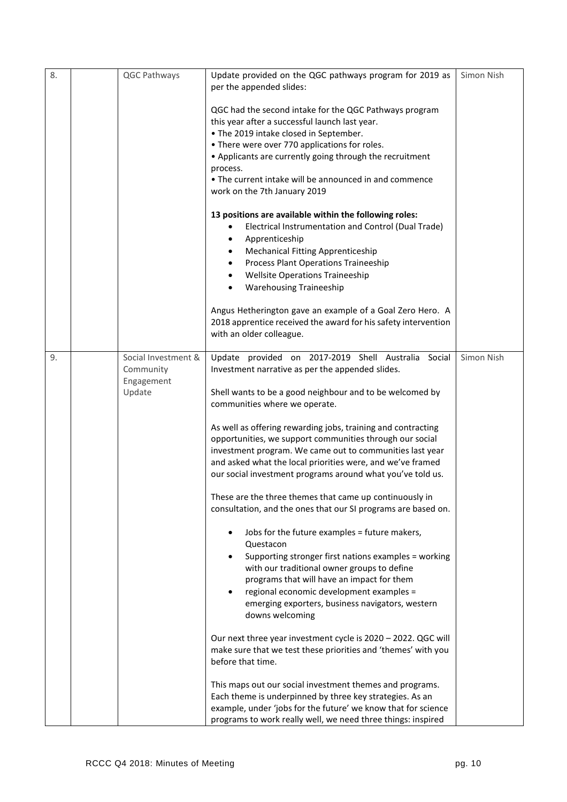| 8. | QGC Pathways                                             | Update provided on the QGC pathways program for 2019 as<br>per the appended slides:                                                                                                                                                                                                                                                                                   | Simon Nish |
|----|----------------------------------------------------------|-----------------------------------------------------------------------------------------------------------------------------------------------------------------------------------------------------------------------------------------------------------------------------------------------------------------------------------------------------------------------|------------|
|    |                                                          | QGC had the second intake for the QGC Pathways program<br>this year after a successful launch last year.<br>. The 2019 intake closed in September.<br>• There were over 770 applications for roles.<br>• Applicants are currently going through the recruitment<br>process.<br>• The current intake will be announced in and commence<br>work on the 7th January 2019 |            |
|    |                                                          | 13 positions are available within the following roles:<br>Electrical Instrumentation and Control (Dual Trade)<br>Apprenticeship<br><b>Mechanical Fitting Apprenticeship</b><br>٠<br>Process Plant Operations Traineeship<br>$\bullet$<br><b>Wellsite Operations Traineeship</b><br>$\bullet$<br><b>Warehousing Traineeship</b><br>$\bullet$                           |            |
|    |                                                          | Angus Hetherington gave an example of a Goal Zero Hero. A<br>2018 apprentice received the award for his safety intervention<br>with an older colleague.                                                                                                                                                                                                               |            |
| 9. | Social Investment &<br>Community<br>Engagement<br>Update | Update provided on 2017-2019 Shell Australia Social<br>Investment narrative as per the appended slides.<br>Shell wants to be a good neighbour and to be welcomed by                                                                                                                                                                                                   | Simon Nish |
|    |                                                          | communities where we operate.<br>As well as offering rewarding jobs, training and contracting<br>opportunities, we support communities through our social<br>investment program. We came out to communities last year<br>and asked what the local priorities were, and we've framed<br>our social investment programs around what you've told us.                     |            |
|    |                                                          | These are the three themes that came up continuously in<br>consultation, and the ones that our SI programs are based on.                                                                                                                                                                                                                                              |            |
|    |                                                          | Jobs for the future examples = future makers,<br>Questacon<br>Supporting stronger first nations examples = working<br>with our traditional owner groups to define<br>programs that will have an impact for them<br>regional economic development examples =<br>emerging exporters, business navigators, western<br>downs welcoming                                    |            |
|    |                                                          | Our next three year investment cycle is 2020 - 2022. QGC will<br>make sure that we test these priorities and 'themes' with you<br>before that time.                                                                                                                                                                                                                   |            |
|    |                                                          | This maps out our social investment themes and programs.<br>Each theme is underpinned by three key strategies. As an<br>example, under 'jobs for the future' we know that for science<br>programs to work really well, we need three things: inspired                                                                                                                 |            |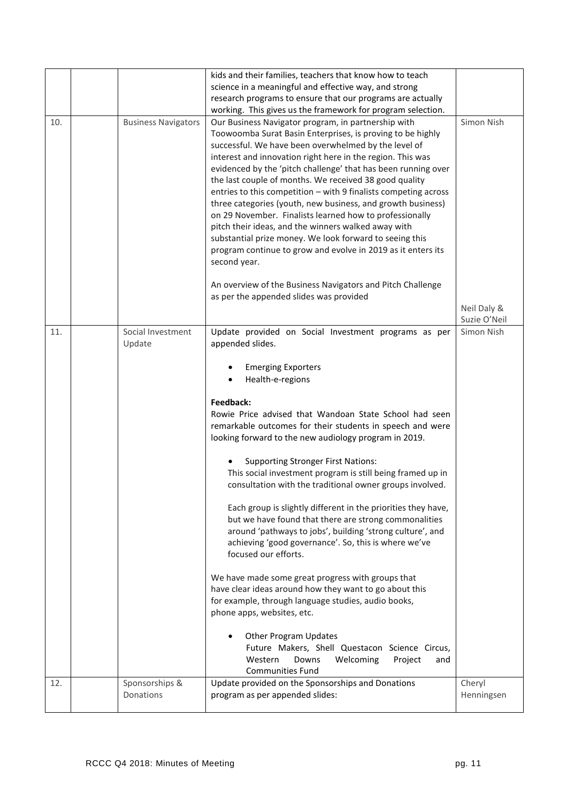|     |                             | kids and their families, teachers that know how to teach                                              |                      |
|-----|-----------------------------|-------------------------------------------------------------------------------------------------------|----------------------|
|     |                             | science in a meaningful and effective way, and strong                                                 |                      |
|     |                             | research programs to ensure that our programs are actually                                            |                      |
|     |                             | working. This gives us the framework for program selection.                                           |                      |
| 10. | <b>Business Navigators</b>  | Our Business Navigator program, in partnership with                                                   | Simon Nish           |
|     |                             | Toowoomba Surat Basin Enterprises, is proving to be highly                                            |                      |
|     |                             | successful. We have been overwhelmed by the level of                                                  |                      |
|     |                             | interest and innovation right here in the region. This was                                            |                      |
|     |                             | evidenced by the 'pitch challenge' that has been running over                                         |                      |
|     |                             | the last couple of months. We received 38 good quality                                                |                      |
|     |                             | entries to this competition - with 9 finalists competing across                                       |                      |
|     |                             | three categories (youth, new business, and growth business)                                           |                      |
|     |                             | on 29 November. Finalists learned how to professionally                                               |                      |
|     |                             | pitch their ideas, and the winners walked away with                                                   |                      |
|     |                             | substantial prize money. We look forward to seeing this                                               |                      |
|     |                             | program continue to grow and evolve in 2019 as it enters its                                          |                      |
|     |                             | second year.                                                                                          |                      |
|     |                             |                                                                                                       |                      |
|     |                             | An overview of the Business Navigators and Pitch Challenge<br>as per the appended slides was provided |                      |
|     |                             |                                                                                                       | Neil Daly &          |
|     |                             |                                                                                                       | Suzie O'Neil         |
| 11. | Social Investment           | Update provided on Social Investment programs as per                                                  | Simon Nish           |
|     | Update                      | appended slides.                                                                                      |                      |
|     |                             |                                                                                                       |                      |
|     |                             | <b>Emerging Exporters</b>                                                                             |                      |
|     |                             | Health-e-regions<br>$\bullet$                                                                         |                      |
|     |                             |                                                                                                       |                      |
|     |                             | Feedback:                                                                                             |                      |
|     |                             | Rowie Price advised that Wandoan State School had seen                                                |                      |
|     |                             | remarkable outcomes for their students in speech and were                                             |                      |
|     |                             | looking forward to the new audiology program in 2019.                                                 |                      |
|     |                             |                                                                                                       |                      |
|     |                             |                                                                                                       |                      |
|     |                             | <b>Supporting Stronger First Nations:</b>                                                             |                      |
|     |                             | This social investment program is still being framed up in                                            |                      |
|     |                             | consultation with the traditional owner groups involved.                                              |                      |
|     |                             |                                                                                                       |                      |
|     |                             | Each group is slightly different in the priorities they have,                                         |                      |
|     |                             | but we have found that there are strong commonalities                                                 |                      |
|     |                             | around 'pathways to jobs', building 'strong culture', and                                             |                      |
|     |                             | achieving 'good governance'. So, this is where we've<br>focused our efforts.                          |                      |
|     |                             |                                                                                                       |                      |
|     |                             | We have made some great progress with groups that                                                     |                      |
|     |                             | have clear ideas around how they want to go about this                                                |                      |
|     |                             | for example, through language studies, audio books,                                                   |                      |
|     |                             | phone apps, websites, etc.                                                                            |                      |
|     |                             |                                                                                                       |                      |
|     |                             | <b>Other Program Updates</b>                                                                          |                      |
|     |                             | Future Makers, Shell Questacon Science Circus,                                                        |                      |
|     |                             | Western<br>Downs<br>Welcoming<br>Project<br>and                                                       |                      |
|     |                             | <b>Communities Fund</b>                                                                               |                      |
| 12. | Sponsorships &<br>Donations | Update provided on the Sponsorships and Donations<br>program as per appended slides:                  | Cheryl<br>Henningsen |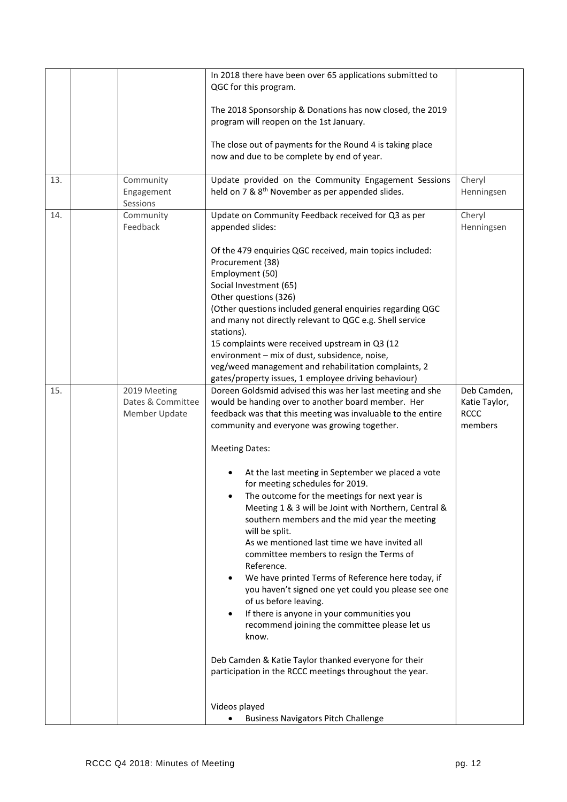|     |                                                    | In 2018 there have been over 65 applications submitted to<br>QGC for this program.                                                                                                                                                                                                                                                                                                                                                                                                                                                                                                                                                                                                                                                                                                                                                                                                  |                                                        |
|-----|----------------------------------------------------|-------------------------------------------------------------------------------------------------------------------------------------------------------------------------------------------------------------------------------------------------------------------------------------------------------------------------------------------------------------------------------------------------------------------------------------------------------------------------------------------------------------------------------------------------------------------------------------------------------------------------------------------------------------------------------------------------------------------------------------------------------------------------------------------------------------------------------------------------------------------------------------|--------------------------------------------------------|
|     |                                                    | The 2018 Sponsorship & Donations has now closed, the 2019<br>program will reopen on the 1st January.                                                                                                                                                                                                                                                                                                                                                                                                                                                                                                                                                                                                                                                                                                                                                                                |                                                        |
|     |                                                    | The close out of payments for the Round 4 is taking place<br>now and due to be complete by end of year.                                                                                                                                                                                                                                                                                                                                                                                                                                                                                                                                                                                                                                                                                                                                                                             |                                                        |
| 13. | Community<br>Engagement<br>Sessions                | Update provided on the Community Engagement Sessions<br>held on 7 & 8 <sup>th</sup> November as per appended slides.                                                                                                                                                                                                                                                                                                                                                                                                                                                                                                                                                                                                                                                                                                                                                                | Cheryl<br>Henningsen                                   |
| 14. | Community<br>Feedback                              | Update on Community Feedback received for Q3 as per<br>appended slides:                                                                                                                                                                                                                                                                                                                                                                                                                                                                                                                                                                                                                                                                                                                                                                                                             | Cheryl<br>Henningsen                                   |
|     |                                                    | Of the 479 enquiries QGC received, main topics included:<br>Procurement (38)<br>Employment (50)<br>Social Investment (65)<br>Other questions (326)<br>(Other questions included general enquiries regarding QGC<br>and many not directly relevant to QGC e.g. Shell service<br>stations).<br>15 complaints were received upstream in Q3 (12<br>environment - mix of dust, subsidence, noise,<br>veg/weed management and rehabilitation complaints, 2                                                                                                                                                                                                                                                                                                                                                                                                                                |                                                        |
|     |                                                    | gates/property issues, 1 employee driving behaviour)                                                                                                                                                                                                                                                                                                                                                                                                                                                                                                                                                                                                                                                                                                                                                                                                                                |                                                        |
| 15. | 2019 Meeting<br>Dates & Committee<br>Member Update | Doreen Goldsmid advised this was her last meeting and she<br>would be handing over to another board member. Her<br>feedback was that this meeting was invaluable to the entire<br>community and everyone was growing together.<br><b>Meeting Dates:</b><br>At the last meeting in September we placed a vote<br>for meeting schedules for 2019.<br>The outcome for the meetings for next year is<br>Meeting 1 & 3 will be Joint with Northern, Central &<br>southern members and the mid year the meeting<br>will be split.<br>As we mentioned last time we have invited all<br>committee members to resign the Terms of<br>Reference.<br>We have printed Terms of Reference here today, if<br>you haven't signed one yet could you please see one<br>of us before leaving.<br>If there is anyone in your communities you<br>recommend joining the committee please let us<br>know. | Deb Camden,<br>Katie Taylor,<br><b>RCCC</b><br>members |
|     |                                                    | Deb Camden & Katie Taylor thanked everyone for their<br>participation in the RCCC meetings throughout the year.                                                                                                                                                                                                                                                                                                                                                                                                                                                                                                                                                                                                                                                                                                                                                                     |                                                        |
|     |                                                    | Videos played<br><b>Business Navigators Pitch Challenge</b>                                                                                                                                                                                                                                                                                                                                                                                                                                                                                                                                                                                                                                                                                                                                                                                                                         |                                                        |